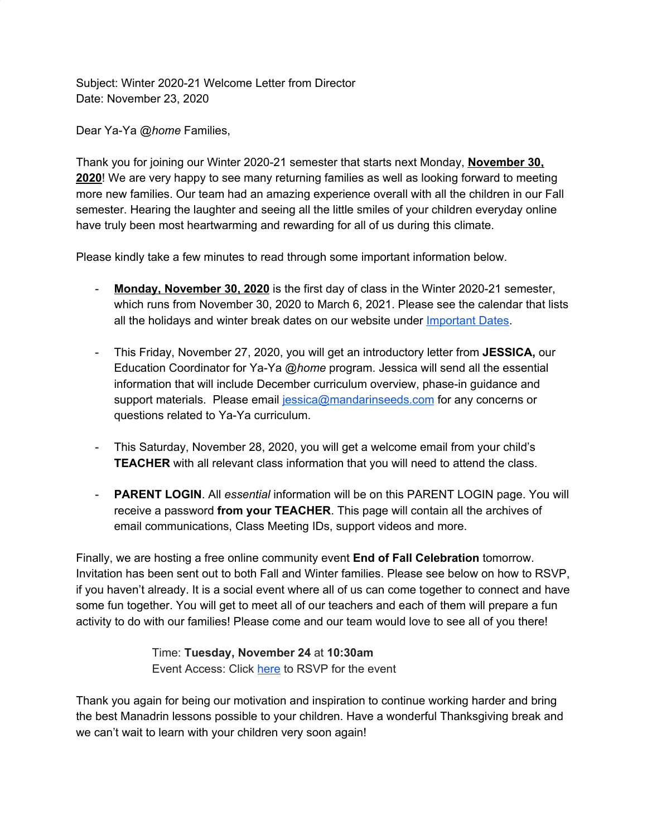Subject: Winter 2020-21 Welcome Letter from Director Date: November 23, 2020

Dear Ya-Ya *@home* Families,

Thank you for joining our Winter 2020-21 semester that starts next Monday, **November 30, 2020**! We are very happy to see many returning families as well as looking forward to meeting more new families. Our team had an amazing experience overall with all the children in our Fall semester. Hearing the laughter and seeing all the little smiles of your children everyday online have truly been most heartwarming and rewarding for all of us during this climate.

Please kindly take a few minutes to read through some important information below.

- **Monday, November 30, 2020** is the first day of class in the Winter 2020-21 semester, which runs from November 30, 2020 to March 6, 2021. Please see the calendar that lists all the holidays and winter break dates on our website under [Important](https://www.mandarinseeds.com/calendar) Dates.
- This Friday, November 27, 2020, you will get an introductory letter from **JESSICA,** our Education Coordinator for Ya-Ya *@home* program. Jessica will send all the essential information that will include December curriculum overview, phase-in guidance and support materials. Please email [jessica@mandarinseeds.com](mailto:jessica@mandarinseeds.com) for any concerns or questions related to Ya-Ya curriculum.
- This Saturday, November 28, 2020, you will get a welcome email from your child's **TEACHER** with all relevant class information that you will need to attend the class.
- **PARENT LOGIN**. All *essential* information will be on this PARENT LOGIN page. You will receive a password **from your TEACHER**. This page will contain all the archives of email communications, Class Meeting IDs, support videos and more.

Finally, we are hosting a free online community event **End of Fall Celebration** tomorrow. Invitation has been sent out to both Fall and Winter families. Please see below on how to RSVP, if you haven't already. It is a social event where all of us can come together to connect and have some fun together. You will get to meet all of our teachers and each of them will prepare a fun activity to do with our families! Please come and our team would love to see all of you there!

> Time: **Tuesday, November 24** at **10:30am** Event Access: Click [here](https://us02web.zoom.us/meeting/register/tZMuceqgqDIsHty0TMx1_M0MscrjE0ubZNFs) to RSVP for the event

Thank you again for being our motivation and inspiration to continue working harder and bring the best Manadrin lessons possible to your children. Have a wonderful Thanksgiving break and we can't wait to learn with your children very soon again!